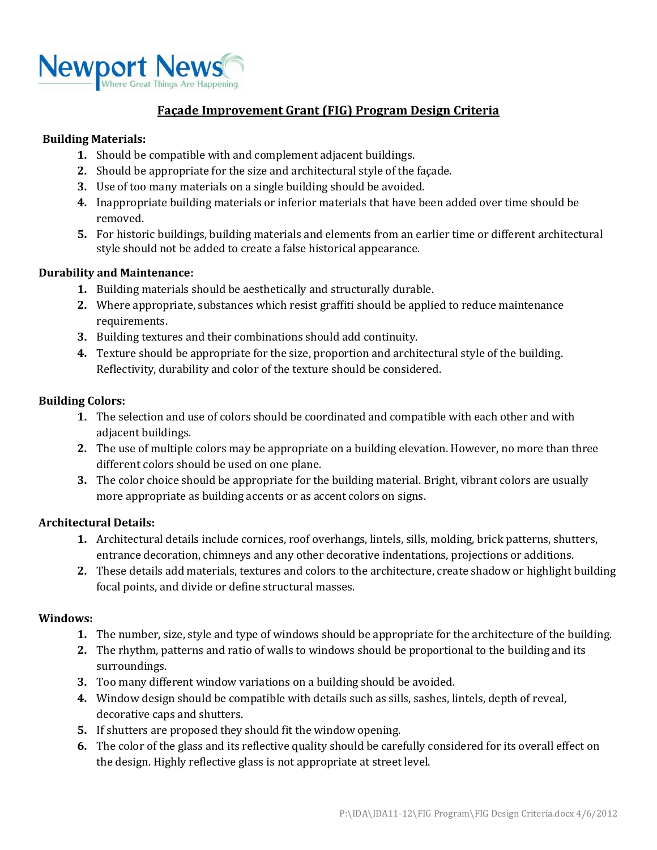

# **Façade Improvement Grant (FIG) Program Design Criteria**

## **Building Materials:**

- **1.** Should be compatible with and complement adjacent buildings.
- **2.** Should be appropriate for the size and architectural style of the façade.
- **3.** Use of too many materials on a single building should be avoided.
- **4.** Inappropriate building materials or inferior materials that have been added over time should be removed.
- **5.** For historic buildings, building materials and elements from an earlier time or different architectural style should not be added to create a false historical appearance.

### **Durability and Maintenance:**

- **1.** Building materials should be aesthetically and structurally durable.
- **2.** Where appropriate, substances which resist graffiti should be applied to reduce maintenance requirements.
- **3.** Building textures and their combinations should add continuity.
- **4.** Texture should be appropriate for the size, proportion and architectural style of the building. Reflectivity, durability and color of the texture should be considered.

## **Building Colors:**

- **1.** The selection and use of colors should be coordinated and compatible with each other and with adjacent buildings.
- **2.** The use of multiple colors may be appropriate on a building elevation. However, no more than three different colors should be used on one plane.
- **3.** The color choice should be appropriate for the building material. Bright, vibrant colors are usually more appropriate as building accents or as accent colors on signs.

### **Architectural Details:**

- **1.** Architectural details include cornices, roof overhangs, lintels, sills, molding, brick patterns, shutters, entrance decoration, chimneys and any other decorative indentations, projections or additions.
- **2.** These details add materials, textures and colors to the architecture, create shadow or highlight building focal points, and divide or define structural masses.

### **Windows:**

- **1.** The number, size, style and type of windows should be appropriate for the architecture of the building.
- **2.** The rhythm, patterns and ratio of walls to windows should be proportional to the building and its surroundings.
- **3.** Too many different window variations on a building should be avoided.
- **4.** Window design should be compatible with details such as sills, sashes, lintels, depth of reveal, decorative caps and shutters.
- **5.** If shutters are proposed they should fit the window opening.
- **6.** The color of the glass and its reflective quality should be carefully considered for its overall effect on the design. Highly reflective glass is not appropriate at street level.